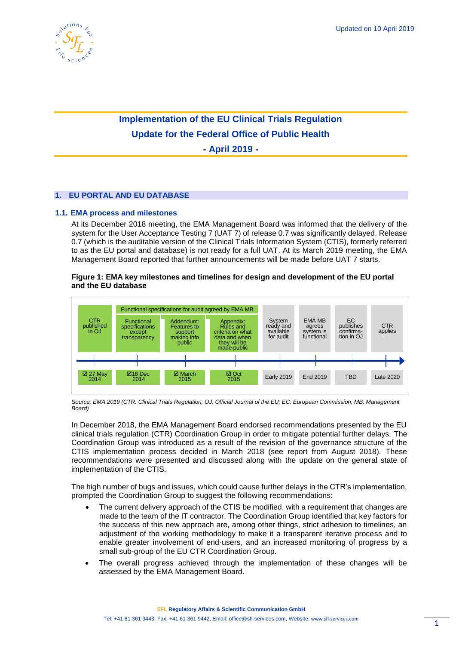

# **Implementation of the EU Clinical Trials Regulation Update for the Federal Office of Public Health**

**- April 2019 -**

## **1. EU PORTAL AND EU DATABASE**

## **1.1. EMA process and milestones**

<span id="page-0-0"></span>At its December 2018 meeting, the EMA Management Board was informed that the delivery of the system for the User Acceptance Testing 7 (UAT 7) of release 0.7 was significantly delayed. Release 0.7 (which is the auditable version of the Clinical Trials Information System (CTIS), formerly referred to as the EU portal and database) is not ready for a full UAT. At its March 2019 meeting, the EMA Management Board reported that further announcements will be made before UAT 7 starts.

## **Figure 1: EMA key milestones and timelines for design and development of the EU portal and the EU database**



*Source: EMA 2019 (CTR: Clinical Trials Regulation; OJ: Official Journal of the EU; EC: European Commission; MB: Management Board)*

In December 2018, the EMA Management Board endorsed recommendations presented by the EU clinical trials regulation (CTR) Coordination Group in order to mitigate potential further delays. The Coordination Group was introduced as a result of the revision of the governance structure of the CTIS implementation process decided in March 2018 (see report from August 2018). These recommendations were presented and discussed along with the update on the general state of implementation of the CTIS.

The high number of bugs and issues, which could cause further delays in the CTR's implementation, prompted the Coordination Group to suggest the following recommendations:

- The current delivery approach of the CTIS be modified, with a requirement that changes are made to the team of the IT contractor. The Coordination Group identified that key factors for the success of this new approach are, among other things, strict adhesion to timelines, an adjustment of the working methodology to make it a transparent iterative process and to enable greater involvement of end-users, and an increased monitoring of progress by a small sub-group of the EU CTR Coordination Group.
- The overall progress achieved through the implementation of these changes will be assessed by the EMA Management Board.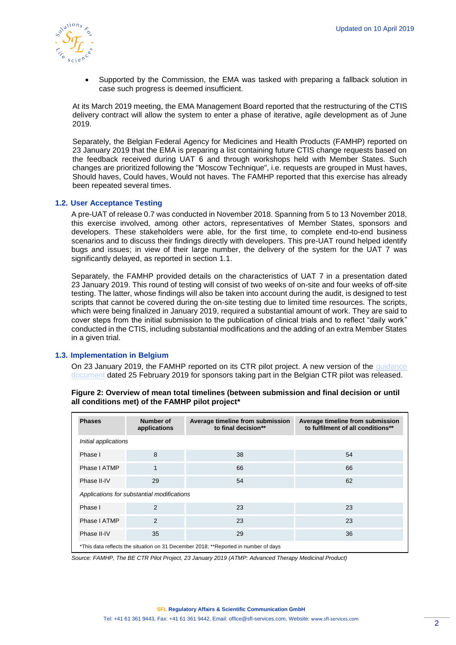

• Supported by the Commission, the EMA was tasked with preparing a fallback solution in case such progress is deemed insufficient.

At its March 2019 meeting, the EMA Management Board reported that the restructuring of the CTIS delivery contract will allow the system to enter a phase of iterative, agile development as of June 2019.

Separately, the Belgian Federal Agency for Medicines and Health Products (FAMHP) reported on 23 January 2019 that the EMA is preparing a list containing future CTIS change requests based on the feedback received during UAT 6 and through workshops held with Member States. Such changes are prioritized following the "Moscow Technique", i.e. requests are grouped in Must haves, Should haves, Could haves, Would not haves. The FAMHP reported that this exercise has already been repeated several times.

## **1.2. User Acceptance Testing**

A pre-UAT of release 0.7 was conducted in November 2018. Spanning from 5 to 13 November 2018, this exercise involved, among other actors, representatives of Member States, sponsors and developers. These stakeholders were able, for the first time, to complete end-to-end business scenarios and to discuss their findings directly with developers. This pre-UAT round helped identify bugs and issues; in view of their large number, the delivery of the system for the UAT 7 was significantly delayed, as reported in section [1.1.](#page-0-0)

Separately, the FAMHP provided details on the characteristics of UAT 7 in a presentation dated 23 January 2019. This round of testing will consist of two weeks of on-site and four weeks of off-site testing. The latter, whose findings will also be taken into account during the audit, is designed to test scripts that cannot be covered during the on-site testing due to limited time resources. The scripts, which were being finalized in January 2019, required a substantial amount of work. They are said to cover steps from the initial submission to the publication of clinical trials and to reflect "daily work" conducted in the CTIS, including substantial modifications and the adding of an extra Member States in a given trial.

## **1.3. Implementation in Belgium**

On 23 January 2019, the FAMHP reported on its CTR pilot project. A new version of the [guidance](https://www.afmps.be/sites/default/files/content/ctr_pilot_project_guidance_for_sponsors_v_6.0_28-02-2019_2.pdf)  [document](https://www.afmps.be/sites/default/files/content/ctr_pilot_project_guidance_for_sponsors_v_6.0_28-02-2019_2.pdf) dated 25 February 2019 for sponsors taking part in the Belgian CTR pilot was released.

| <b>Phases</b>                                                                       | Number of<br>applications | Average timeline from submission<br>to final decision** | Average timeline from submission<br>to fulfilment of all conditions** |
|-------------------------------------------------------------------------------------|---------------------------|---------------------------------------------------------|-----------------------------------------------------------------------|
| Initial applications                                                                |                           |                                                         |                                                                       |
| Phase I                                                                             | 8                         | 38                                                      | 54                                                                    |
| Phase I ATMP                                                                        | 1                         | 66                                                      | 66                                                                    |
| Phase II-IV                                                                         | 29                        | 54                                                      | 62                                                                    |
| Applications for substantial modifications                                          |                           |                                                         |                                                                       |
| Phase I                                                                             | 2                         | 23                                                      | 23                                                                    |
| Phase I ATMP                                                                        | 2                         | 23                                                      | 23                                                                    |
| Phase II-IV                                                                         | 35                        | 29                                                      | 36                                                                    |
| *This data reflects the situation on 31 December 2018; **Reported in number of days |                           |                                                         |                                                                       |

#### **Figure 2: Overview of mean total timelines (between submission and final decision or until all conditions met) of the FAMHP pilot project\***

*Source: FAMHP, The BE CTR Pilot Project, 23 January 2019 (ATMP: Advanced Therapy Medicinal Product)*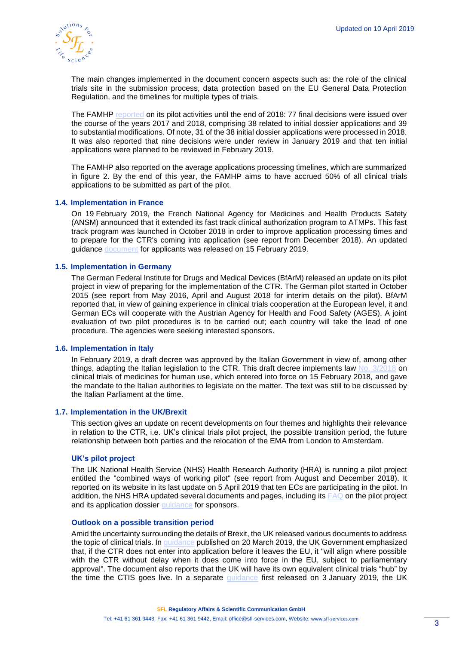

The main changes implemented in the document concern aspects such as: the role of the clinical trials site in the submission process, data protection based on the EU General Data Protection Regulation, and the timelines for multiple types of trials.

The FAMHP [reported](https://www.afmps.be/sites/default/files/content/ctr_pilot_info_session_23-01-2019_0.zip) on its pilot activities until the end of 2018: 77 final decisions were issued over the course of the years 2017 and 2018, comprising 38 related to initial dossier applications and 39 to substantial modifications. Of note, 31 of the 38 initial dossier applications were processed in 2018. It was also reported that nine decisions were under review in January 2019 and that ten initial applications were planned to be reviewed in February 2019.

The FAMHP also reported on the average applications processing timelines, which are summarized in figure 2. By the end of this year, the FAMHP aims to have accrued 50% of all clinical trials applications to be submitted as part of the pilot.

#### **1.4. Implementation in France**

On 19 February 2019, the French National Agency for Medicines and Health Products Safety (ANSM) announced that it extended its fast track clinical authorization program to ATMPs. This fast track program was launched in October 2018 in order to improve application processing times and to prepare for the CTR's coming into application (see report from December 2018). An updated guidance [document](https://www.ansm.sante.fr/content/download/150999/1985443/version/2/file/AEC_DOC020A+v02_Practical_guide_Fast+track_18022019-EN.pdf) for applicants was released on 15 February 2019.

## **1.5. Implementation in Germany**

The German Federal Institute for Drugs and Medical Devices (BfArM) released an update on its pilot project in view of preparing for the implementation of the CTR. The German pilot started in October 2015 (see report from May 2016, April and August 2018 for interim details on the pilot). BfArM reported that, in view of gaining experience in clinical trials cooperation at the European level, it and German ECs will cooperate with the Austrian Agency for Health and Food Safety (AGES). A joint evaluation of two pilot procedures is to be carried out; each country will take the lead of one procedure. The agencies were seeking interested sponsors.

#### **1.6. Implementation in Italy**

In February 2019, a draft decree was approved by the Italian Government in view of, among other things, adapting the Italian legislation to the CTR. This draft decree implements law [No. 3/2018](https://www.gazzettaufficiale.it/eli/id/2018/1/31/18G00019/sg) on clinical trials of medicines for human use, which entered into force on 15 February 2018, and gave the mandate to the Italian authorities to legislate on the matter. The text was still to be discussed by the Italian Parliament at the time.

#### **1.7. Implementation in the UK/Brexit**

This section gives an update on recent developments on four themes and highlights their relevance in relation to the CTR, i.e. UK's clinical trials pilot project, the possible transition period, the future relationship between both parties and the relocation of the EMA from London to Amsterdam.

#### **UK's pilot project**

The UK National Health Service (NHS) Health Research Authority (HRA) is running a pilot project entitled the "combined ways of working pilot" (see report from August and December 2018). It reported on its website in its last update on 5 April 2019 that ten ECs are participating in the pilot. In addition, the NHS HRA updated several documents and pages, including its [FAQ](https://www.hra.nhs.uk/planning-and-improving-research/policies-standards-legislation/clinical-trials-investigational-medicinal-products-ctimps/combined-ways-working-pilot/faqs/) on the pilot project and its application dossier [guidance](https://www.hra.nhs.uk/documents/1563/Application_dossier_guidance_v2.2_003.pdf) for sponsors.

#### **Outlook on a possible transition period**

Amid the uncertainty surrounding the details of Brexit, the UK released various documents to address the topic of clinical trials. In [guidance](https://www.gov.uk/guidance/guidance-on-registration-of-clinical-trials-for-investigational-medicinal-products-and-publication-of-summary-results) published on 20 March 2019, the UK Government emphasized that, if the CTR does not enter into application before it leaves the EU, it "will align where possible with the CTR without delay when it does come into force in the EU, subject to parliamentary approval". The document also reports that the UK will have its own equivalent clinical trials "hub" by the time the CTIS goes live. In a separate [guidance](https://www.gov.uk/government/publications/further-guidance-note-on-the-regulation-of-medicines-medical-devices-and-clinical-trials-if-theres-no-brexit-deal) first released on 3 January 2019, the UK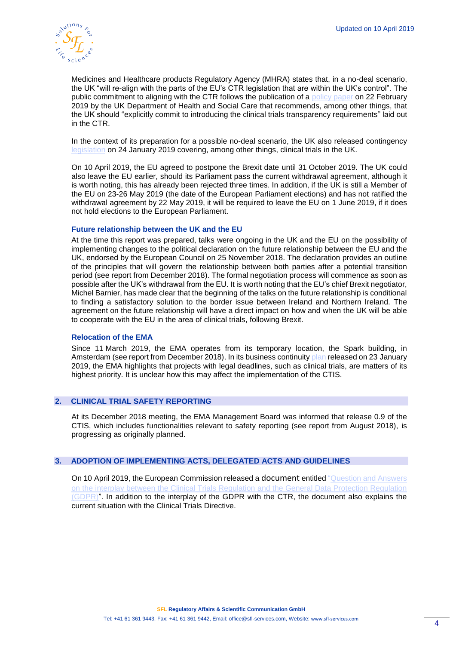

Medicines and Healthcare products Regulatory Agency (MHRA) states that, in a no-deal scenario, the UK "will re-align with the parts of the EU's CTR legislation that are within the UK's control". The public commitment to aligning with the CTR follows the publication of a [policy paper](https://www.gov.uk/government/publications/clinical-trials-transparency-government-response-to-the-science-and-technology-committees-inquiry/government-response-to-the-house-of-commons-science-and-technology-committee-report-on-research-integrity-clinical-trials-transparency) on 22 February 2019 by the UK Department of Health and Social Care that recommends, among other things, that the UK should "explicitly commit to introducing the clinical trials transparency requirements" laid out in the CTR.

In the context of its preparation for a possible no-deal scenario, the UK also released contingency [legislation](https://www.gov.uk/government/news/contingency-legislation-covering-regulation-of-medicines-and-medical-devices-in-a-no-deal-scenario) on 24 January 2019 covering, among other things, clinical trials in the UK.

On 10 April 2019, the EU agreed to postpone the Brexit date until 31 October 2019. The UK could also leave the EU earlier, should its Parliament pass the current withdrawal agreement, although it is worth noting, this has already been rejected three times. In addition, if the UK is still a Member of the EU on 23-26 May 2019 (the date of the European Parliament elections) and has not ratified the withdrawal agreement by 22 May 2019, it will be required to leave the EU on 1 June 2019, if it does not hold elections to the European Parliament.

## **Future relationship between the UK and the EU**

At the time this report was prepared, talks were ongoing in the UK and the EU on the possibility of implementing changes to the political declaration on the future relationship between the EU and the UK, endorsed by the European Council on 25 November 2018. The declaration provides an outline of the principles that will govern the relationship between both parties after a potential transition period (see report from December 2018). The formal negotiation process will commence as soon as possible after the UK's withdrawal from the EU. It is worth noting that the EU's chief Brexit negotiator, Michel Barnier, has made clear that the beginning of the talks on the future relationship is conditional to finding a satisfactory solution to the border issue between Ireland and Northern Ireland. The agreement on the future relationship will have a direct impact on how and when the UK will be able to cooperate with the EU in the area of clinical trials, following Brexit.

## **Relocation of the EMA**

Since 11 March 2019, the EMA operates from its temporary location, the Spark building, in Amsterdam (see report from December 2018). In its business continuity [plan](https://www.ema.europa.eu/en/documents/other/european-medicines-agency-brexit-preparedness-business-continuity-plan_en.pdf) released on 23 January 2019, the EMA highlights that projects with legal deadlines, such as clinical trials, are matters of its highest priority. It is unclear how this may affect the implementation of the CTIS.

## **2. CLINICAL TRIAL SAFETY REPORTING**

At its December 2018 meeting, the EMA Management Board was informed that release 0.9 of the CTIS, which includes functionalities relevant to safety reporting (see report from August 2018), is progressing as originally planned.

## **3. ADOPTION OF IMPLEMENTING ACTS, DELEGATED ACTS AND GUIDELINES**

On 10 April 2019, the European Commission released a [document](https://ec.europa.eu/health/sites/health/files/files/documents/qa_clinicaltrials_gdpr_en.pdf) entitled ["Question and Answers](https://ec.europa.eu/health/sites/health/files/files/documents/qa_clinicaltrials_gdpr_en.pdf)  [on the interplay between the Clinical Trials Regulation and the General Data Protection Regulation](https://ec.europa.eu/health/sites/health/files/files/documents/qa_clinicaltrials_gdpr_en.pdf)  [\(GDPR\)".](https://ec.europa.eu/health/sites/health/files/files/documents/qa_clinicaltrials_gdpr_en.pdf) In addition to the interplay of the GDPR with the CTR, the document also explains the current situation with the Clinical Trials Directive.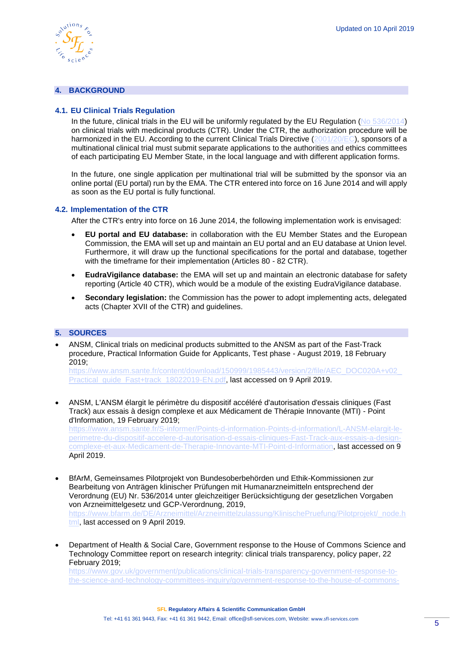

## **4. BACKGROUND**

## **4.1. EU Clinical Trials Regulation**

In the future, clinical trials in the EU will be uniformly regulated by the EU Regulation [\(No 536/2014\)](http://eur-lex.europa.eu/legal-content/EN/TXT/PDF/?uri=CELEX:32014R0536&from=EN) on clinical trials with medicinal products (CTR). Under the CTR, the authorization procedure will be harmonized in the EU. According to the current Clinical Trials Directive [\(2001/20/EC\)](http://eur-lex.europa.eu/legal-content/EN/TXT/?qid=1498489090986&uri=CELEX:32001L0020), sponsors of a multinational clinical trial must submit separate applications to the authorities and ethics committees of each participating EU Member State, in the local language and with different application forms.

In the future, one single application per multinational trial will be submitted by the sponsor via an online portal (EU portal) run by the EMA. The CTR entered into force on 16 June 2014 and will apply as soon as the EU portal is fully functional.

#### **4.2. Implementation of the CTR**

After the CTR's entry into force on 16 June 2014, the following implementation work is envisaged:

- **EU portal and EU database:** in collaboration with the EU Member States and the European Commission, the EMA will set up and maintain an EU portal and an EU database at Union level. Furthermore, it will draw up the functional specifications for the portal and database, together with the timeframe for their implementation (Articles 80 - 82 CTR).
- **EudraVigilance database:** the EMA will set up and maintain an electronic database for safety reporting (Article 40 CTR), which would be a module of the existing EudraVigilance database.
- **Secondary legislation:** the Commission has the power to adopt implementing acts, delegated acts (Chapter XVII of the CTR) and guidelines.

## **5. SOURCES**

• ANSM, Clinical trials on medicinal products submitted to the ANSM as part of the Fast-Track procedure, Practical Information Guide for Applicants, Test phase - August 2019, 18 February 2019;

[https://www.ansm.sante.fr/content/download/150999/1985443/version/2/file/AEC\\_DOC020A+v02\\_](https://www.ansm.sante.fr/content/download/150999/1985443/version/2/file/AEC_DOC020A+v02_Practical_guide_Fast+track_18022019-EN.pdf) [Practical\\_guide\\_Fast+track\\_18022019-EN.pdf,](https://www.ansm.sante.fr/content/download/150999/1985443/version/2/file/AEC_DOC020A+v02_Practical_guide_Fast+track_18022019-EN.pdf) last accessed on 9 April 2019.

• ANSM, L'ANSM élargit le périmètre du dispositif accéléré d'autorisation d'essais cliniques (Fast Track) aux essais à design complexe et aux Médicament de Thérapie Innovante (MTI) - Point d'Information, 19 February 2019; [https://www.ansm.sante.fr/S-informer/Points-d-information-Points-d-information/L-ANSM-elargit-le](https://www.ansm.sante.fr/S-informer/Points-d-information-Points-d-information/L-ANSM-elargit-le-perimetre-du-dispositif-accelere-d-autorisation-d-essais-cliniques-Fast-Track-aux-essais-a-design-complexe-et-aux-Medicament-de-Therapie-Innovante-MTI-Point-d-Information)[perimetre-du-dispositif-accelere-d-autorisation-d-essais-cliniques-Fast-Track-aux-essais-a-design](https://www.ansm.sante.fr/S-informer/Points-d-information-Points-d-information/L-ANSM-elargit-le-perimetre-du-dispositif-accelere-d-autorisation-d-essais-cliniques-Fast-Track-aux-essais-a-design-complexe-et-aux-Medicament-de-Therapie-Innovante-MTI-Point-d-Information)[complexe-et-aux-Medicament-de-Therapie-Innovante-MTI-Point-d-Information,](https://www.ansm.sante.fr/S-informer/Points-d-information-Points-d-information/L-ANSM-elargit-le-perimetre-du-dispositif-accelere-d-autorisation-d-essais-cliniques-Fast-Track-aux-essais-a-design-complexe-et-aux-Medicament-de-Therapie-Innovante-MTI-Point-d-Information) last accessed on 9

April 2019. • BfArM, Gemeinsames Pilotprojekt von Bundesoberbehörden und Ethik-Kommissionen zur

Bearbeitung von Anträgen klinischer Prüfungen mit Humanarzneimitteln entsprechend der Verordnung (EU) Nr. 536/2014 unter gleichzeitiger Berücksichtigung der gesetzlichen Vorgaben von Arzneimittelgesetz und GCP-Verordnung, 2019,

https://www.bfarm.de/DE/Arzneimittel/Arzneimittelzulassung/KlinischePruefung/Pilotprojekt/ node.h [tml,](https://www.bfarm.de/DE/Arzneimittel/Arzneimittelzulassung/KlinischePruefung/Pilotprojekt/_node.html) last accessed on 9 April 2019.

• Department of Health & Social Care, Government response to the House of Commons Science and Technology Committee report on research integrity: clinical trials transparency, policy paper, 22 February 2019;

[https://www.gov.uk/government/publications/clinical-trials-transparency-government-response-to](https://www.gov.uk/government/publications/clinical-trials-transparency-government-response-to-the-science-and-technology-committees-inquiry/government-response-to-the-house-of-commons-science-and-technology-committee-report-on-research-integrity-clinical-trials-transparency)[the-science-and-technology-committees-inquiry/government-response-to-the-house-of-commons-](https://www.gov.uk/government/publications/clinical-trials-transparency-government-response-to-the-science-and-technology-committees-inquiry/government-response-to-the-house-of-commons-science-and-technology-committee-report-on-research-integrity-clinical-trials-transparency)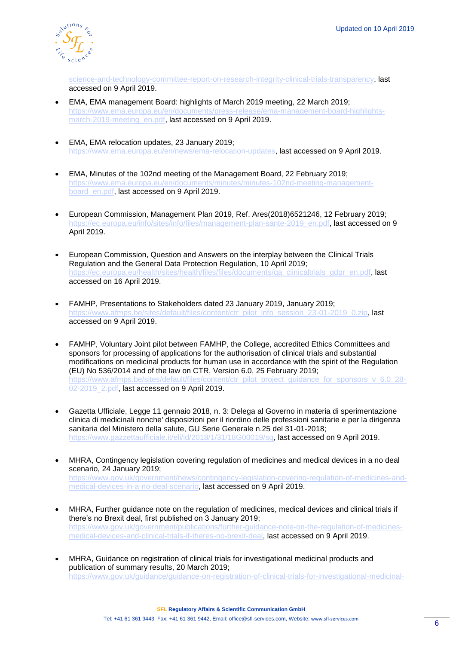

[science-and-technology-committee-report-on-research-integrity-clinical-trials-transparency,](https://www.gov.uk/government/publications/clinical-trials-transparency-government-response-to-the-science-and-technology-committees-inquiry/government-response-to-the-house-of-commons-science-and-technology-committee-report-on-research-integrity-clinical-trials-transparency) last accessed on 9 April 2019.

- EMA, EMA management Board: highlights of March 2019 meeting, 22 March 2019; [https://www.ema.europa.eu/en/documents/press-release/ema-management-board-highlights](https://www.ema.europa.eu/en/documents/press-release/ema-management-board-highlights-march-2019-meeting_en.pdf)[march-2019-meeting\\_en.pdf,](https://www.ema.europa.eu/en/documents/press-release/ema-management-board-highlights-march-2019-meeting_en.pdf) last accessed on 9 April 2019.
- EMA, EMA relocation updates, 23 January 2019; [https://www.ema.europa.eu/en/news/ema-relocation-updates,](https://www.ema.europa.eu/en/news/ema-relocation-updates) last accessed on 9 April 2019.
- EMA, Minutes of the 102nd meeting of the Management Board, 22 February 2019; [https://www.ema.europa.eu/en/documents/minutes/minutes-102nd-meeting-management](https://www.ema.europa.eu/en/documents/minutes/minutes-102nd-meeting-management-board_en.pdf)board en.pdf, last accessed on 9 April 2019.
- European Commission, Management Plan 2019, Ref. Ares(2018)6521246, 12 February 2019; [https://ec.europa.eu/info/sites/info/files/management-plan-sante-2019\\_en.pdf,](https://ec.europa.eu/info/sites/info/files/management-plan-sante-2019_en.pdf) last accessed on 9 April 2019.
- European Commission, Question and Answers on the interplay between the Clinical Trials Regulation and the General Data Protection Regulation, 10 April 2019; [https://ec.europa.eu/health/sites/health/files/files/documents/qa\\_clinicaltrials\\_gdpr\\_en.pdf,](https://ec.europa.eu/health/sites/health/files/files/documents/qa_clinicaltrials_gdpr_en.pdf) last accessed on 16 April 2019.
- FAMHP, Presentations to Stakeholders dated 23 January 2019, January 2019; [https://www.afmps.be/sites/default/files/content/ctr\\_pilot\\_info\\_session\\_23-01-2019\\_0.zip,](https://www.afmps.be/sites/default/files/content/ctr_pilot_info_session_23-01-2019_0.zip) last accessed on 9 April 2019.
- FAMHP, Voluntary Joint pilot between FAMHP, the College, accredited Ethics Committees and sponsors for processing of applications for the authorisation of clinical trials and substantial modifications on medicinal products for human use in accordance with the spirit of the Regulation (EU) No 536/2014 and of the law on CTR, Version 6.0, 25 February 2019; [https://www.afmps.be/sites/default/files/content/ctr\\_pilot\\_project\\_guidance\\_for\\_sponsors\\_v\\_6.0\\_28-](https://www.afmps.be/sites/default/files/content/ctr_pilot_project_guidance_for_sponsors_v_6.0_28-02-2019_2.pdf) 02-2019 2.pdf, last accessed on 9 April 2019.
- Gazetta Ufficiale, Legge 11 gennaio 2018, n. 3: Delega al Governo in materia di sperimentazione clinica di medicinali nonche' disposizioni per il riordino delle professioni sanitarie e per la dirigenza sanitaria del Ministero della salute, GU Serie Generale n.25 del 31-01-2018; [https://www.gazzettaufficiale.it/eli/id/2018/1/31/18G00019/sg,](https://www.gazzettaufficiale.it/eli/id/2018/1/31/18G00019/sg) last accessed on 9 April 2019.
- MHRA, Contingency legislation covering regulation of medicines and medical devices in a no deal scenario, 24 January 2019; [https://www.gov.uk/government/news/contingency-legislation-covering-regulation-of-medicines-and](https://www.gov.uk/government/news/contingency-legislation-covering-regulation-of-medicines-and-medical-devices-in-a-no-deal-scenario)[medical-devices-in-a-no-deal-scenario,](https://www.gov.uk/government/news/contingency-legislation-covering-regulation-of-medicines-and-medical-devices-in-a-no-deal-scenario) last accessed on 9 April 2019.
- MHRA, Further guidance note on the regulation of medicines, medical devices and clinical trials if there's no Brexit deal, first published on 3 January 2019; [https://www.gov.uk/government/publications/further-guidance-note-on-the-regulation-of-medicines](https://www.gov.uk/government/publications/further-guidance-note-on-the-regulation-of-medicines-medical-devices-and-clinical-trials-if-theres-no-brexit-deal)[medical-devices-and-clinical-trials-if-theres-no-brexit-deal,](https://www.gov.uk/government/publications/further-guidance-note-on-the-regulation-of-medicines-medical-devices-and-clinical-trials-if-theres-no-brexit-deal) last accessed on 9 April 2019.
- MHRA, Guidance on registration of clinical trials for investigational medicinal products and publication of summary results, 20 March 2019; [https://www.gov.uk/guidance/guidance-on-registration-of-clinical-trials-for-investigational-medicinal-](https://www.gov.uk/guidance/guidance-on-registration-of-clinical-trials-for-investigational-medicinal-products-and-publication-of-summary-results)